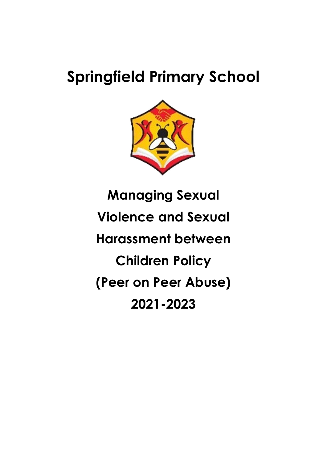# **Springfield Primary School**



**Managing Sexual Violence and Sexual Harassment between Children Policy (Peer on Peer Abuse) 2021-2023**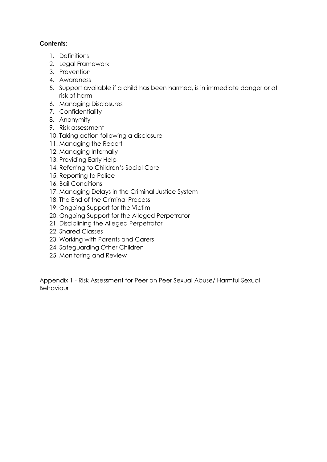## **Contents:**

- 1. Definitions
- 2. Legal Framework
- 3. Prevention
- 4. Awareness
- 5. Support available if a child has been harmed, is in immediate danger or at risk of harm
- 6. Managing Disclosures
- 7. Confidentiality
- 8. Anonymity
- 9. Risk assessment
- 10. Taking action following a disclosure
- 11. Managing the Report
- 12. Managing Internally
- 13. Providing Early Help
- 14. Referring to Children's Social Care
- 15. Reporting to Police
- 16. Bail Conditions
- 17. Managing Delays in the Criminal Justice System
- 18. The End of the Criminal Process
- 19. Ongoing Support for the Victim
- 20. Ongoing Support for the Alleged Perpetrator
- 21. Disciplining the Alleged Perpetrator
- 22. Shared Classes
- 23. Working with Parents and Carers
- 24. Safeguarding Other Children
- 25. Monitoring and Review

Appendix 1 - Risk Assessment for Peer on Peer Sexual Abuse/ Harmful Sexual Behaviour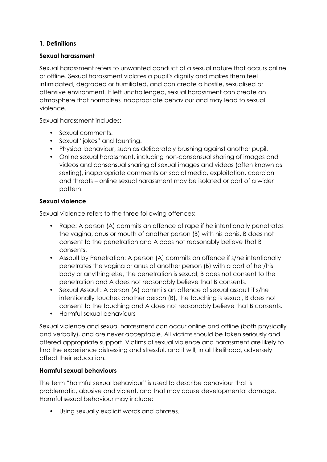## **1. Definitions**

#### **Sexual harassment**

Sexual harassment refers to unwanted conduct of a sexual nature that occurs online or offline. Sexual harassment violates a pupil's dignity and makes them feel intimidated, degraded or humiliated, and can create a hostile, sexualised or offensive environment. If left unchallenged, sexual harassment can create an atmosphere that normalises inappropriate behaviour and may lead to sexual violence.

Sexual harassment includes:

- Sexual comments.
- Sexual "jokes" and taunting.
- Physical behaviour, such as deliberately brushing against another pupil.
- Online sexual harassment, including non-consensual sharing of images and videos and consensual sharing of sexual images and videos (often known as sexting), inappropriate comments on social media, exploitation, coercion and threats – online sexual harassment may be isolated or part of a wider pattern.

#### **Sexual violence**

Sexual violence refers to the three following offences:

- Rape: A person (A) commits an offence of rape if he intentionally penetrates the vagina, anus or mouth of another person (B) with his penis, B does not consent to the penetration and A does not reasonably believe that B consents.
- Assault by Penetration: A person (A) commits an offence if s/he intentionally penetrates the vagina or anus of another person (B) with a part of her/his body or anything else, the penetration is sexual, B does not consent to the penetration and A does not reasonably believe that B consents.
- Sexual Assault: A person (A) commits an offence of sexual assault if s/he intentionally touches another person (B), the touching is sexual, B does not consent to the touching and A does not reasonably believe that B consents.
- Harmful sexual behaviours

Sexual violence and sexual harassment can occur online and offline (both physically and verbally), and are never acceptable. All victims should be taken seriously and offered appropriate support. Victims of sexual violence and harassment are likely to find the experience distressing and stressful, and it will, in all likelihood, adversely affect their education.

#### **Harmful sexual behaviours**

The term "harmful sexual behaviour" is used to describe behaviour that is problematic, abusive and violent, and that may cause developmental damage. Harmful sexual behaviour may include:

• Using sexually explicit words and phrases.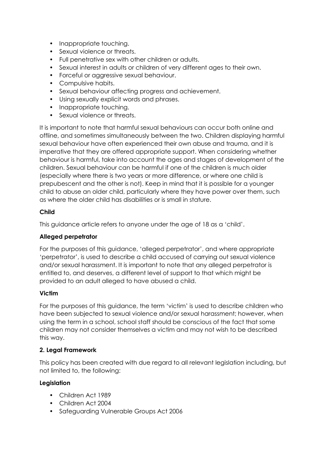- Inappropriate touching.
- Sexual violence or threats.
- Full penetrative sex with other children or adults.
- Sexual interest in adults or children of very different ages to their own.
- Forceful or aggressive sexual behaviour.
- Compulsive habits.
- Sexual behaviour affecting progress and achievement.
- Using sexually explicit words and phrases.
- Inappropriate touching.
- Sexual violence or threats.

It is important to note that harmful sexual behaviours can occur both online and offline, and sometimes simultaneously between the two. Children displaying harmful sexual behaviour have often experienced their own abuse and trauma, and it is imperative that they are offered appropriate support. When considering whether behaviour is harmful, take into account the ages and stages of development of the children. Sexual behaviour can be harmful if one of the children is much older (especially where there is two years or more difference, or where one child is prepubescent and the other is not). Keep in mind that it is possible for a younger child to abuse an older child, particularly where they have power over them, such as where the older child has disabilities or is small in stature.

## **Child**

This guidance article refers to anyone under the age of 18 as a 'child'.

## **Alleged perpetrator**

For the purposes of this guidance, 'alleged perpetrator', and where appropriate 'perpetrator', is used to describe a child accused of carrying out sexual violence and/or sexual harassment. It is important to note that any alleged perpetrator is entitled to, and deserves, a different level of support to that which might be provided to an adult alleged to have abused a child.

## **Victim**

For the purposes of this guidance, the term 'victim' is used to describe children who have been subjected to sexual violence and/or sexual harassment; however, when using the term in a school, school staff should be conscious of the fact that some children may not consider themselves a victim and may not wish to be described this way.

## **2. Legal Framework**

This policy has been created with due regard to all relevant legislation including, but not limited to, the following:

## **Legislation**

- Children Act 1989
- Children Act 2004
- Safeguarding Vulnerable Groups Act 2006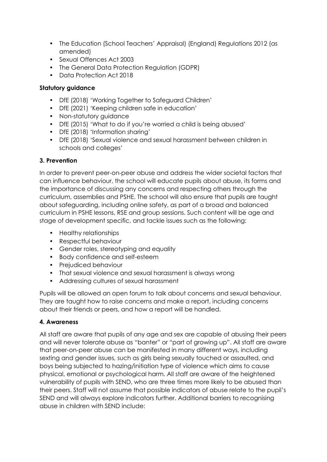- The Education (School Teachers' Appraisal) (England) Regulations 2012 (as amended)
- Sexual Offences Act 2003
- The General Data Protection Regulation (GDPR)
- Data Protection Act 2018

## **Statutory guidance**

- DfE (2018) 'Working Together to Safeguard Children'
- DfE (2021) 'Keeping children safe in education'
- Non-statutory guidance
- DfE (2015) 'What to do if you're worried a child is being abused'
- DfE (2018) 'Information sharing'
- DfE (2018) 'Sexual violence and sexual harassment between children in schools and colleges'

## **3. Prevention**

In order to prevent peer-on-peer abuse and address the wider societal factors that can influence behaviour, the school will educate pupils about abuse, its forms and the importance of discussing any concerns and respecting others through the curriculum, assemblies and PSHE. The school will also ensure that pupils are taught about safeguarding, including online safety, as part of a broad and balanced curriculum in PSHE lessons, RSE and group sessions. Such content will be age and stage of development specific, and tackle issues such as the following:

- Healthy relationships
- Respectful behaviour
- Gender roles, stereotyping and equality
- Body confidence and self-esteem
- Prejudiced behaviour
- That sexual violence and sexual harassment is always wrong
- Addressing cultures of sexual harassment

Pupils will be allowed an open forum to talk about concerns and sexual behaviour. They are taught how to raise concerns and make a report, including concerns about their friends or peers, and how a report will be handled.

# **4. Awareness**

All staff are aware that pupils of any age and sex are capable of abusing their peers and will never tolerate abuse as "banter" or "part of growing up". All staff are aware that peer-on-peer abuse can be manifested in many different ways, including sexting and gender issues, such as girls being sexually touched or assaulted, and boys being subjected to hazing/initiation type of violence which aims to cause physical, emotional or psychological harm. All staff are aware of the heightened vulnerability of pupils with SEND, who are three times more likely to be abused than their peers. Staff will not assume that possible indicators of abuse relate to the pupil's SEND and will always explore indicators further. Additional barriers to recognising abuse in children with SEND include: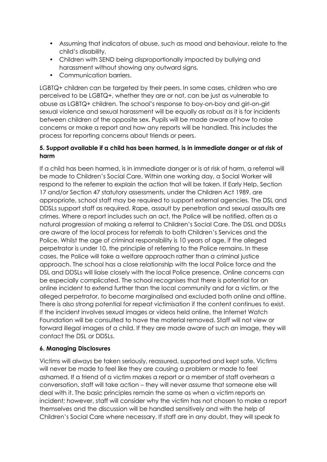- Assuming that indicators of abuse, such as mood and behaviour, relate to the child's disability.
- Children with SEND being disproportionally impacted by bullying and harassment without showing any outward signs.
- Communication barriers.

LGBTQ+ children can be targeted by their peers. In some cases, children who are perceived to be LGBTQ+, whether they are or not, can be just as vulnerable to abuse as LGBTQ+ children. The school's response to boy-on-boy and girl-on-girl sexual violence and sexual harassment will be equally as robust as it is for incidents between children of the opposite sex. Pupils will be made aware of how to raise concerns or make a report and how any reports will be handled. This includes the process for reporting concerns about friends or peers.

#### **5. Support available if a child has been harmed, is in immediate danger or at risk of harm**

If a child has been harmed, is in immediate danger or is at risk of harm, a referral will be made to Children's Social Care. Within one working day, a Social Worker will respond to the referrer to explain the action that will be taken. If Early Help, Section 17 and/or Section 47 statutory assessments, under the Children Act 1989, are appropriate, school staff may be required to support external agencies. The DSL and DDSLs support staff as required. Rape, assault by penetration and sexual assaults are crimes. Where a report includes such an act, the Police will be notified, often as a natural progression of making a referral to Children's Social Care. The DSL and DDSLs are aware of the local process for referrals to both Children's Services and the Police. Whilst the age of criminal responsibility is 10 years of age, if the alleged perpetrator is under 10, the principle of referring to the Police remains. In these cases, the Police will take a welfare approach rather than a criminal justice approach. The school has a close relationship with the local Police force and the DSL and DDSLs will liaise closely with the local Police presence. Online concerns can be especially complicated. The school recognises that there is potential for an online incident to extend further than the local community and for a victim, or the alleged perpetrator, to become marginalised and excluded both online and offline. There is also strong potential for repeat victimisation if the content continues to exist. If the incident involves sexual images or videos held online, the Internet Watch Foundation will be consulted to have the material removed. Staff will not view or forward illegal images of a child. If they are made aware of such an image, they will contact the DSL or DDSLs.

## **6. Managing Disclosures**

Victims will always be taken seriously, reassured, supported and kept safe. Victims will never be made to feel like they are causing a problem or made to feel ashamed. If a friend of a victim makes a report or a member of staff overhears a conversation, staff will take action – they will never assume that someone else will deal with it. The basic principles remain the same as when a victim reports an incident; however, staff will consider why the victim has not chosen to make a report themselves and the discussion will be handled sensitively and with the help of Children's Social Care where necessary. If staff are in any doubt, they will speak to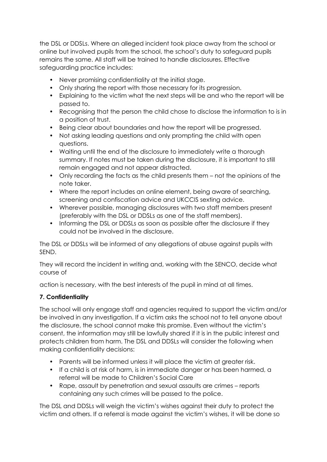the DSL or DDSLs. Where an alleged incident took place away from the school or online but involved pupils from the school, the school's duty to safeguard pupils remains the same. All staff will be trained to handle disclosures. Effective safeguarding practice includes:

- Never promising confidentiality at the initial stage.
- Only sharing the report with those necessary for its progression.
- Explaining to the victim what the next steps will be and who the report will be passed to.
- Recognising that the person the child chose to disclose the information to is in a position of trust.
- Being clear about boundaries and how the report will be progressed.
- Not asking leading questions and only prompting the child with open questions.
- Waiting until the end of the disclosure to immediately write a thorough summary. If notes must be taken during the disclosure, it is important to still remain engaged and not appear distracted.
- Only recording the facts as the child presents them not the opinions of the note taker.
- Where the report includes an online element, being aware of searching, screening and confiscation advice and UKCCIS sexting advice.
- Wherever possible, managing disclosures with two staff members present (preferably with the DSL or DDSLs as one of the staff members).
- Informing the DSL or DDSLs as soon as possible after the disclosure if they could not be involved in the disclosure.

The DSL or DDSLs will be informed of any allegations of abuse against pupils with SEND.

They will record the incident in writing and, working with the SENCO, decide what course of

action is necessary, with the best interests of the pupil in mind at all times.

## **7. Confidentiality**

The school will only engage staff and agencies required to support the victim and/or be involved in any investigation. If a victim asks the school not to tell anyone about the disclosure, the school cannot make this promise. Even without the victim's consent, the information may still be lawfully shared if it is in the public interest and protects children from harm. The DSL and DDSLs will consider the following when making confidentiality decisions:

- Parents will be informed unless it will place the victim at greater risk.
- If a child is at risk of harm, is in immediate danger or has been harmed, a referral will be made to Children's Social Care
- Rape, assault by penetration and sexual assaults are crimes reports containing any such crimes will be passed to the police.

The DSL and DDSLs will weigh the victim's wishes against their duty to protect the victim and others. If a referral is made against the victim's wishes, it will be done so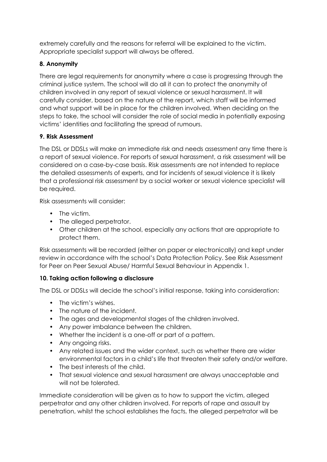extremely carefully and the reasons for referral will be explained to the victim. Appropriate specialist support will always be offered.

# **8. Anonymity**

There are legal requirements for anonymity where a case is progressing through the criminal justice system. The school will do all it can to protect the anonymity of children involved in any report of sexual violence or sexual harassment. It will carefully consider, based on the nature of the report, which staff will be informed and what support will be in place for the children involved. When deciding on the steps to take, the school will consider the role of social media in potentially exposing victims' identities and facilitating the spread of rumours.

# **9. Risk Assessment**

The DSL or DDSLs will make an immediate risk and needs assessment any time there is a report of sexual violence. For reports of sexual harassment, a risk assessment will be considered on a case-by-case basis. Risk assessments are not intended to replace the detailed assessments of experts, and for incidents of sexual violence it is likely that a professional risk assessment by a social worker or sexual violence specialist will be required.

Risk assessments will consider:

- The victim.
- The alleged perpetrator.
- Other children at the school, especially any actions that are appropriate to protect them.

Risk assessments will be recorded (either on paper or electronically) and kept under review in accordance with the school's Data Protection Policy. See Risk Assessment for Peer on Peer Sexual Abuse/ Harmful Sexual Behaviour in Appendix 1.

## **10. Taking action following a disclosure**

The DSL or DDSLs will decide the school's initial response, taking into consideration:

- The victim's wishes.
- The nature of the incident.
- The ages and developmental stages of the children involved.
- Any power imbalance between the children.
- Whether the incident is a one-off or part of a pattern.
- Any ongoing risks.
- Any related issues and the wider context, such as whether there are wider environmental factors in a child's life that threaten their safety and/or welfare.
- The best interests of the child.
- That sexual violence and sexual harassment are always unacceptable and will not be tolerated.

Immediate consideration will be given as to how to support the victim, alleged perpetrator and any other children involved. For reports of rape and assault by penetration, whilst the school establishes the facts, the alleged perpetrator will be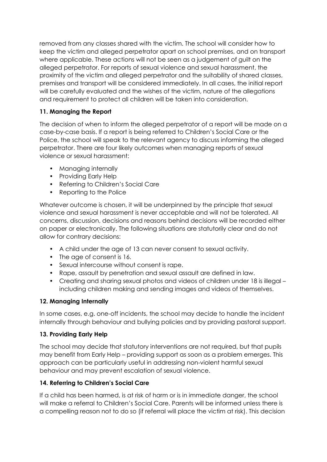removed from any classes shared with the victim. The school will consider how to keep the victim and alleged perpetrator apart on school premises, and on transport where applicable. These actions will not be seen as a judgement of guilt on the alleged perpetrator. For reports of sexual violence and sexual harassment, the proximity of the victim and alleged perpetrator and the suitability of shared classes, premises and transport will be considered immediately. In all cases, the initial report will be carefully evaluated and the wishes of the victim, nature of the allegations and requirement to protect all children will be taken into consideration.

# **11. Managing the Report**

The decision of when to inform the alleged perpetrator of a report will be made on a case-by-case basis. If a report is being referred to Children's Social Care or the Police, the school will speak to the relevant agency to discuss informing the alleged perpetrator. There are four likely outcomes when managing reports of sexual violence or sexual harassment:

- Managing internally
- Providing Early Help
- Referring to Children's Social Care
- Reporting to the Police

Whatever outcome is chosen, it will be underpinned by the principle that sexual violence and sexual harassment is never acceptable and will not be tolerated. All concerns, discussion, decisions and reasons behind decisions will be recorded either on paper or electronically. The following situations are statutorily clear and do not allow for contrary decisions:

- A child under the age of 13 can never consent to sexual activity.
- The age of consent is 16.
- Sexual intercourse without consent is rape.
- Rape, assault by penetration and sexual assault are defined in law.
- Creating and sharing sexual photos and videos of children under 18 is illegal including children making and sending images and videos of themselves.

## **12. Managing Internally**

In some cases, e.g. one-off incidents, the school may decide to handle the incident internally through behaviour and bullying policies and by providing pastoral support.

## **13. Providing Early Help**

The school may decide that statutory interventions are not required, but that pupils may benefit from Early Help – providing support as soon as a problem emerges. This approach can be particularly useful in addressing non-violent harmful sexual behaviour and may prevent escalation of sexual violence.

## **14. Referring to Children's Social Care**

If a child has been harmed, is at risk of harm or is in immediate danger, the school will make a referral to Children's Social Care. Parents will be informed unless there is a compelling reason not to do so (if referral will place the victim at risk). This decision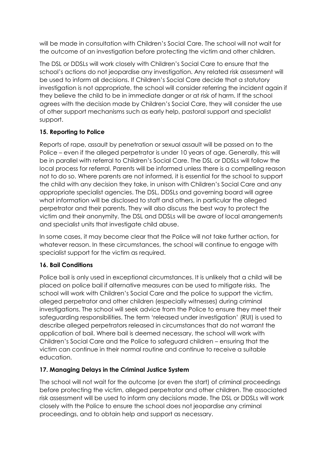will be made in consultation with Children's Social Care. The school will not wait for the outcome of an investigation before protecting the victim and other children.

The DSL or DDSLs will work closely with Children's Social Care to ensure that the school's actions do not jeopardise any investigation. Any related risk assessment will be used to inform all decisions. If Children's Social Care decide that a statutory investigation is not appropriate, the school will consider referring the incident again if they believe the child to be in immediate danger or at risk of harm. If the school agrees with the decision made by Children's Social Care, they will consider the use of other support mechanisms such as early help, pastoral support and specialist support.

# **15. Reporting to Police**

Reports of rape, assault by penetration or sexual assault will be passed on to the Police – even if the alleged perpetrator is under 10 years of age. Generally, this will be in parallel with referral to Children's Social Care. The DSL or DDSLs will follow the local process for referral. Parents will be informed unless there is a compelling reason not to do so. Where parents are not informed, it is essential for the school to support the child with any decision they take, in unison with Children's Social Care and any appropriate specialist agencies. The DSL, DDSLs and governing board will agree what information will be disclosed to staff and others, in particular the alleged perpetrator and their parents. They will also discuss the best way to protect the victim and their anonymity. The DSL and DDSLs will be aware of local arrangements and specialist units that investigate child abuse.

In some cases, it may become clear that the Police will not take further action, for whatever reason. In these circumstances, the school will continue to engage with specialist support for the victim as required.

# **16. Bail Conditions**

Police bail is only used in exceptional circumstances. It is unlikely that a child will be placed on police bail if alternative measures can be used to mitigate risks. The school will work with Children's Social Care and the police to support the victim, alleged perpetrator and other children (especially witnesses) during criminal investigations. The school will seek advice from the Police to ensure they meet their safeguarding responsibilities. The term 'released under investigation' (RUI) is used to describe alleged perpetrators released in circumstances that do not warrant the application of bail. Where bail is deemed necessary, the school will work with Children's Social Care and the Police to safeguard children – ensuring that the victim can continue in their normal routine and continue to receive a suitable education.

## **17. Managing Delays in the Criminal Justice System**

The school will not wait for the outcome (or even the start) of criminal proceedings before protecting the victim, alleged perpetrator and other children. The associated risk assessment will be used to inform any decisions made. The DSL or DDSLs will work closely with the Police to ensure the school does not jeopardise any criminal proceedings, and to obtain help and support as necessary.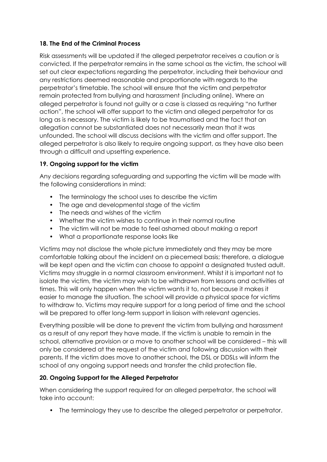# **18. The End of the Criminal Process**

Risk assessments will be updated if the alleged perpetrator receives a caution or is convicted. If the perpetrator remains in the same school as the victim, the school will set out clear expectations regarding the perpetrator, including their behaviour and any restrictions deemed reasonable and proportionate with regards to the perpetrator's timetable. The school will ensure that the victim and perpetrator remain protected from bullying and harassment (including online). Where an alleged perpetrator is found not guilty or a case is classed as requiring "no further action", the school will offer support to the victim and alleged perpetrator for as long as is necessary. The victim is likely to be traumatised and the fact that an allegation cannot be substantiated does not necessarily mean that it was unfounded. The school will discuss decisions with the victim and offer support. The alleged perpetrator is also likely to require ongoing support, as they have also been through a difficult and upsetting experience.

## **19. Ongoing support for the victim**

Any decisions regarding safeguarding and supporting the victim will be made with the following considerations in mind:

- The terminology the school uses to describe the victim
- The age and developmental stage of the victim
- The needs and wishes of the victim
- Whether the victim wishes to continue in their normal routine
- The victim will not be made to feel ashamed about making a report
- What a proportionate response looks like

Victims may not disclose the whole picture immediately and they may be more comfortable talking about the incident on a piecemeal basis; therefore, a dialogue will be kept open and the victim can choose to appoint a designated trusted adult. Victims may struggle in a normal classroom environment. Whilst it is important not to isolate the victim, the victim may wish to be withdrawn from lessons and activities at times. This will only happen when the victim wants it to, not because it makes it easier to manage the situation. The school will provide a physical space for victims to withdraw to. Victims may require support for a long period of time and the school will be prepared to offer long-term support in liaison with relevant agencies.

Everything possible will be done to prevent the victim from bullying and harassment as a result of any report they have made. If the victim is unable to remain in the school, alternative provision or a move to another school will be considered – this will only be considered at the request of the victim and following discussion with their parents. If the victim does move to another school, the DSL or DDSLs will inform the school of any ongoing support needs and transfer the child protection file.

## **20. Ongoing Support for the Alleged Perpetrator**

When considering the support required for an alleged perpetrator, the school will take into account:

• The terminology they use to describe the alleged perpetrator or perpetrator.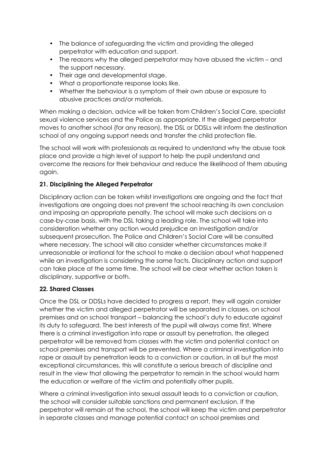- The balance of safeguarding the victim and providing the alleged perpetrator with education and support.
- The reasons why the alleged perpetrator may have abused the victim and the support necessary.
- Their age and developmental stage.
- What a proportionate response looks like.
- Whether the behaviour is a symptom of their own abuse or exposure to abusive practices and/or materials.

When making a decision, advice will be taken from Children's Social Care, specialist sexual violence services and the Police as appropriate. If the alleged perpetrator moves to another school (for any reason), the DSL or DDSLs will inform the destination school of any ongoing support needs and transfer the child protection file.

The school will work with professionals as required to understand why the abuse took place and provide a high level of support to help the pupil understand and overcome the reasons for their behaviour and reduce the likelihood of them abusing again.

# **21. Disciplining the Alleged Perpetrator**

Disciplinary action can be taken whilst investigations are ongoing and the fact that investigations are ongoing does not prevent the school reaching its own conclusion and imposing an appropriate penalty. The school will make such decisions on a case-by-case basis, with the DSL taking a leading role. The school will take into consideration whether any action would prejudice an investigation and/or subsequent prosecution. The Police and Children's Social Care will be consulted where necessary. The school will also consider whether circumstances make it unreasonable or irrational for the school to make a decision about what happened while an investigation is considering the same facts. Disciplinary action and support can take place at the same time. The school will be clear whether action taken is disciplinary, supportive or both.

## **22. Shared Classes**

Once the DSL or DDSLs have decided to progress a report, they will again consider whether the victim and alleged perpetrator will be separated in classes, on school premises and on school transport – balancing the school's duty to educate against its duty to safeguard. The best interests of the pupil will always come first. Where there is a criminal investigation into rape or assault by penetration, the alleged perpetrator will be removed from classes with the victim and potential contact on school premises and transport will be prevented. Where a criminal investigation into rape or assault by penetration leads to a conviction or caution, in all but the most exceptional circumstances, this will constitute a serious breach of discipline and result in the view that allowing the perpetrator to remain in the school would harm the education or welfare of the victim and potentially other pupils.

Where a criminal investigation into sexual assault leads to a conviction or caution, the school will consider suitable sanctions and permanent exclusion. If the perpetrator will remain at the school, the school will keep the victim and perpetrator in separate classes and manage potential contact on school premises and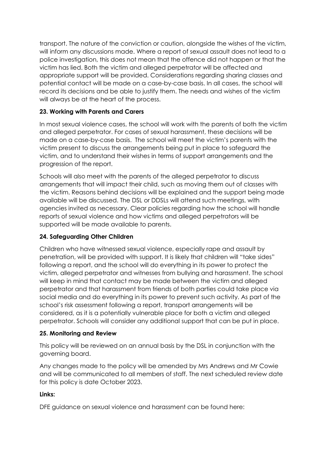transport. The nature of the conviction or caution, alongside the wishes of the victim, will inform any discussions made. Where a report of sexual assault does not lead to a police investigation, this does not mean that the offence did not happen or that the victim has lied. Both the victim and alleged perpetrator will be affected and appropriate support will be provided. Considerations regarding sharing classes and potential contact will be made on a case-by-case basis. In all cases, the school will record its decisions and be able to justify them. The needs and wishes of the victim will always be at the heart of the process.

## **23. Working with Parents and Carers**

In most sexual violence cases, the school will work with the parents of both the victim and alleged perpetrator. For cases of sexual harassment, these decisions will be made on a case-by-case basis. The school will meet the victim's parents with the victim present to discuss the arrangements being put in place to safeguard the victim, and to understand their wishes in terms of support arrangements and the progression of the report.

Schools will also meet with the parents of the alleged perpetrator to discuss arrangements that will impact their child, such as moving them out of classes with the victim. Reasons behind decisions will be explained and the support being made available will be discussed. The DSL or DDSLs will attend such meetings, with agencies invited as necessary. Clear policies regarding how the school will handle reports of sexual violence and how victims and alleged perpetrators will be supported will be made available to parents.

## **24. Safeguarding Other Children**

Children who have witnessed sexual violence, especially rape and assault by penetration, will be provided with support. It is likely that children will "take sides" following a report, and the school will do everything in its power to protect the victim, alleged perpetrator and witnesses from bullying and harassment. The school will keep in mind that contact may be made between the victim and alleged perpetrator and that harassment from friends of both parties could take place via social media and do everything in its power to prevent such activity. As part of the school's risk assessment following a report, transport arrangements will be considered, as it is a potentially vulnerable place for both a victim and alleged perpetrator. Schools will consider any additional support that can be put in place.

## **25. Monitoring and Review**

This policy will be reviewed on an annual basis by the DSL in conjunction with the governing board.

Any changes made to the policy will be amended by Mrs Andrews and Mr Cowie and will be communicated to all members of staff. The next scheduled review date for this policy is date October 2023.

## **Links:**

DFE guidance on sexual violence and harassment can be found here: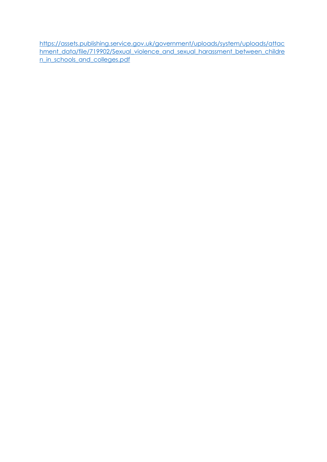[https://assets.publishing.service.gov.uk/government/uploads/system/uploads/attac](https://assets.publishing.service.gov.uk/government/uploads/system/uploads/attachment_data/file/719902/Sexual_violence_and_sexual_harassment_between_children_in_schools_and_colleges.pdf) [hment\\_data/file/719902/Sexual\\_violence\\_and\\_sexual\\_harassment\\_between\\_childre](https://assets.publishing.service.gov.uk/government/uploads/system/uploads/attachment_data/file/719902/Sexual_violence_and_sexual_harassment_between_children_in_schools_and_colleges.pdf) [n\\_in\\_schools\\_and\\_colleges.pdf](https://assets.publishing.service.gov.uk/government/uploads/system/uploads/attachment_data/file/719902/Sexual_violence_and_sexual_harassment_between_children_in_schools_and_colleges.pdf)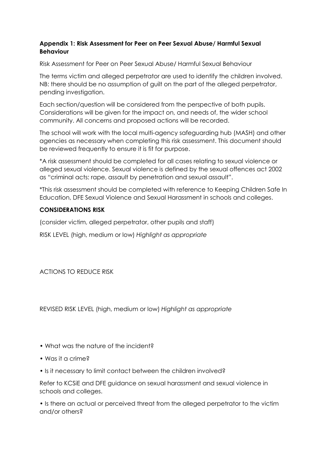#### **Appendix 1: Risk Assessment for Peer on Peer Sexual Abuse/ Harmful Sexual Behaviour**

Risk Assessment for Peer on Peer Sexual Abuse/ Harmful Sexual Behaviour

The terms victim and alleged perpetrator are used to identify the children involved. NB: there should be no assumption of guilt on the part of the alleged perpetrator, pending investigation.

Each section/question will be considered from the perspective of both pupils. Considerations will be given for the impact on, and needs of, the wider school community. All concerns and proposed actions will be recorded.

The school will work with the local multi-agency safeguarding hub (MASH) and other agencies as necessary when completing this risk assessment. This document should be reviewed frequently to ensure it is fit for purpose.

\*A risk assessment should be completed for all cases relating to sexual violence or alleged sexual violence. Sexual violence is defined by the sexual offences act 2002 as "criminal acts: rape, assault by penetration and sexual assault".

\*This risk assessment should be completed with reference to Keeping Children Safe In Education, DFE Sexual Violence and Sexual Harassment in schools and colleges.

#### **CONSIDERATIONS RISK**

(consider victim, alleged perpetrator, other pupils and staff)

RISK LEVEL (high, medium or low) *Highlight as appropriate*

ACTIONS TO REDUCE RISK

REVISED RISK LEVEL (high, medium or low) *Highlight as appropriate*

- What was the nature of the incident?
- Was it a crime?
- Is it necessary to limit contact between the children involved?

Refer to KCSiE and DFE guidance on sexual harassment and sexual violence in schools and colleges.

• Is there an actual or perceived threat from the alleged perpetrator to the victim and/or others?